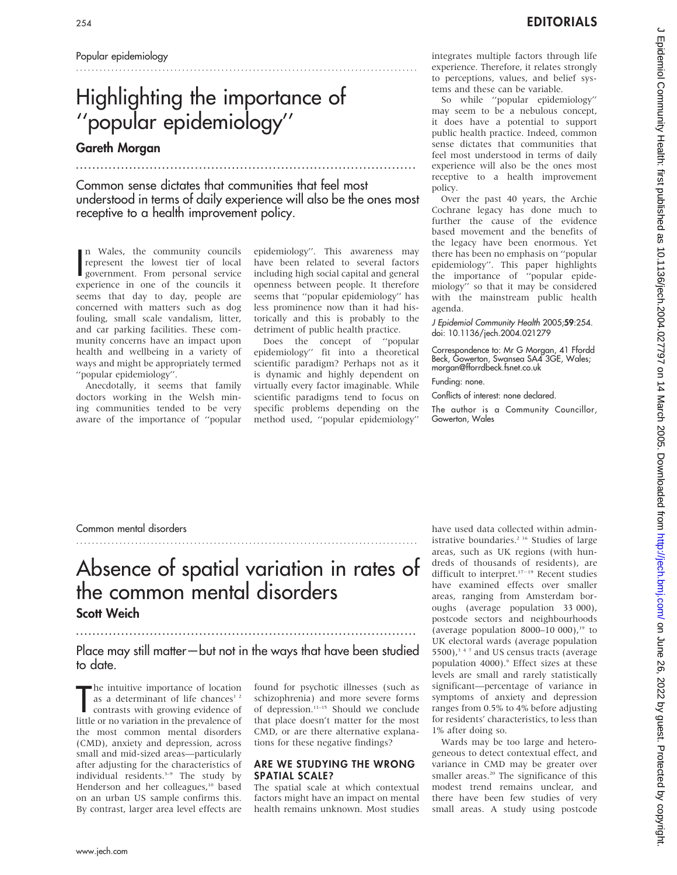#### Popular epidemiology .......................................................................................

# Highlighting the importance of ''popular epidemiology''

## Gareth Morgan

Common sense dictates that communities that feel most understood in terms of daily experience will also be the ones most receptive to a health improvement policy.

...................................................................................

In Wales, the community councils<br>government. From personal service<br>government. From personal service n Wales, the community councils represent the lowest tier of local experience in one of the councils it seems that day to day, people are concerned with matters such as dog fouling, small scale vandalism, litter, and car parking facilities. These community concerns have an impact upon health and wellbeing in a variety of ways and might be appropriately termed ''popular epidemiology''.

Anecdotally, it seems that family doctors working in the Welsh mining communities tended to be very aware of the importance of ''popular epidemiology''. This awareness may have been related to several factors including high social capital and general openness between people. It therefore seems that ''popular epidemiology'' has less prominence now than it had historically and this is probably to the detriment of public health practice.

Does the concept of ''popular epidemiology'' fit into a theoretical scientific paradigm? Perhaps not as it is dynamic and highly dependent on virtually every factor imaginable. While scientific paradigms tend to focus on specific problems depending on the method used, ''popular epidemiology''

.......................................................................................

integrates multiple factors through life experience. Therefore, it relates strongly to perceptions, values, and belief systems and these can be variable.

So while ''popular epidemiology'' may seem to be a nebulous concept, it does have a potential to support public health practice. Indeed, common sense dictates that communities that feel most understood in terms of daily experience will also be the ones most receptive to a health improvement policy.

Over the past 40 years, the Archie Cochrane legacy has done much to further the cause of the evidence based movement and the benefits of the legacy have been enormous. Yet there has been no emphasis on ''popular epidemiology''. This paper highlights the importance of ''popular epidemiology'' so that it may be considered with the mainstream public health agenda.

J Epidemiol Community Health 2005;59:254. doi: 10.1136/jech.2004.021279

Correspondence to: Mr G Morgan, 41 Ffordd Beck, Gowerton, Swansea SA4 3GE, Wales; morgan@fforrdbeck.fsnet.co.uk

Funding: none.

Conflicts of interest: none declared.

The author is a Community Councillor, Gowerton, Wales

## Common mental disorders

## Absence of spatial variation in rates of the common mental disorders Scott Weich

...................................................................................

Place may still matter—but not in the ways that have been studied to date.

The intuitive importance of location<br>as a determinant of life chances<sup>12</sup><br>contrasts with growing evidence of<br>little or no variation in the prevalence of he intuitive importance of location as a determinant of life chances<sup>1</sup><sup>2</sup> contrasts with growing evidence of the most common mental disorders (CMD), anxiety and depression, across small and mid-sized areas—particularly after adjusting for the characteristics of individual residents.<sup>3-9</sup> The study by Henderson and her colleagues,<sup>10</sup> based on an urban US sample confirms this. By contrast, larger area level effects are

found for psychotic illnesses (such as schizophrenia) and more severe forms of depression.11–15 Should we conclude that place doesn't matter for the most CMD, or are there alternative explanations for these negative findings?

### ARE WE STUDYING THE WRONG SPATIAL SCALE?

The spatial scale at which contextual factors might have an impact on mental health remains unknown. Most studies

have used data collected within administrative boundaries.<sup>2 16</sup> Studies of large areas, such as UK regions (with hundreds of thousands of residents), are difficult to interpret. $17-19$  Recent studies have examined effects over smaller areas, ranging from Amsterdam boroughs (average population 33 000), postcode sectors and neighbourhoods (average population  $8000-10000$ ),<sup>19</sup> to UK electoral wards (average population 5500), $347$  and US census tracts (average population 4000).<sup>9</sup> Effect sizes at these levels are small and rarely statistically significant—percentage of variance in symptoms of anxiety and depression ranges from 0.5% to 4% before adjusting for residents' characteristics, to less than 1% after doing so.

Wards may be too large and heterogeneous to detect contextual effect, and variance in CMD may be greater over smaller areas.<sup>20</sup> The significance of this modest trend remains unclear, and there have been few studies of very small areas. A study using postcode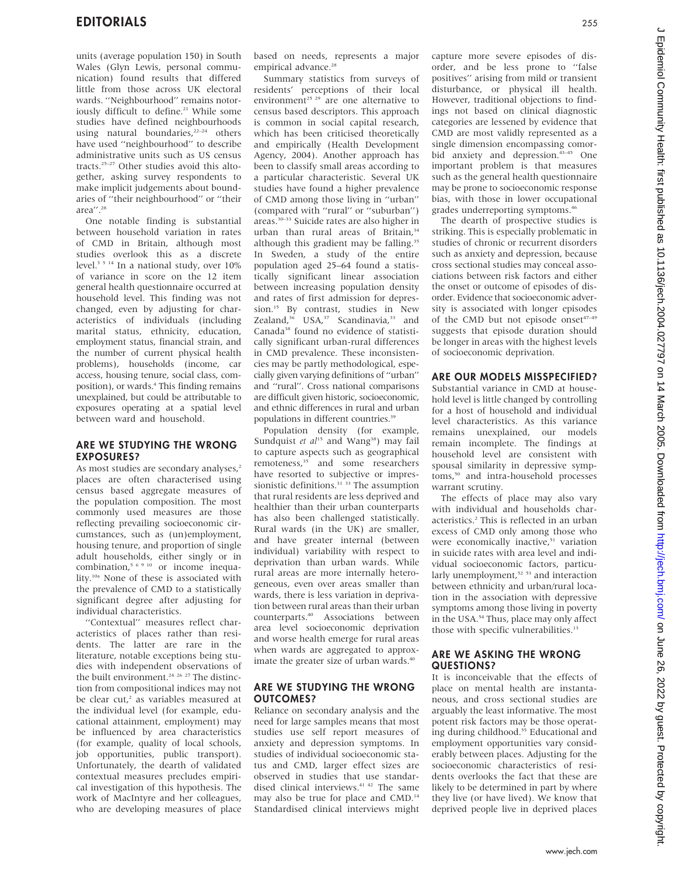units (average population 150) in South Wales (Glyn Lewis, personal communication) found results that differed little from those across UK electoral wards. ''Neighbourhood'' remains notoriously difficult to define.<sup>21</sup> While some studies have defined neighbourhoods using natural boundaries, $2^{22-24}$  others have used ''neighbourhood'' to describe administrative units such as US census tracts.25–27 Other studies avoid this altogether, asking survey respondents to make implicit judgements about boundaries of ''their neighbourhood'' or ''their area''.28

One notable finding is substantial between household variation in rates of CMD in Britain, although most studies overlook this as a discrete level.3 5 14 In a national study, over 10% of variance in score on the 12 item general health questionnaire occurred at household level. This finding was not changed, even by adjusting for characteristics of individuals (including marital status, ethnicity, education, employment status, financial strain, and the number of current physical health problems), households (income, car access, housing tenure, social class, composition), or wards.4 This finding remains unexplained, but could be attributable to exposures operating at a spatial level between ward and household.

#### ARE WE STUDYING THE WRONG EXPOSURES?

As most studies are secondary analyses,<sup>2</sup> places are often characterised using census based aggregate measures of the population composition. The most commonly used measures are those reflecting prevailing socioeconomic circumstances, such as (un)employment, housing tenure, and proportion of single adult households, either singly or in combination,<sup>5 6 9 10</sup> or income inequality.10a None of these is associated with the prevalence of CMD to a statistically significant degree after adjusting for individual characteristics.

''Contextual'' measures reflect characteristics of places rather than residents. The latter are rare in the literature, notable exceptions being studies with independent observations of the built environment.<sup>24 26</sup> <sup>27</sup> The distinction from compositional indices may not be clear cut,<sup>2</sup> as variables measured at the individual level (for example, educational attainment, employment) may be influenced by area characteristics (for example, quality of local schools, job opportunities, public transport). Unfortunately, the dearth of validated contextual measures precludes empirical investigation of this hypothesis. The work of MacIntyre and her colleagues, who are developing measures of place based on needs, represents a major empirical advance.<sup>28</sup>

Summary statistics from surveys of residents' perceptions of their local environment<sup>25</sup> <sup>29</sup> are one alternative to census based descriptors. This approach is common in social capital research, which has been criticised theoretically and empirically (Health Development Agency, 2004). Another approach has been to classify small areas according to a particular characteristic. Several UK studies have found a higher prevalence of CMD among those living in ''urban'' (compared with ''rural'' or ''suburban'') areas.30–33 Suicide rates are also higher in urban than rural areas of Britain,<sup>34</sup> although this gradient may be falling.<sup>35</sup> In Sweden, a study of the entire population aged 25–64 found a statistically significant linear association between increasing population density and rates of first admission for depression.<sup>15</sup> By contrast, studies in New Zealand,<sup>36</sup> USA,<sup>37</sup> Scandinavia,<sup>33</sup> and Canada<sup>38</sup> found no evidence of statistically significant urban-rural differences in CMD prevalence. These inconsistencies may be partly methodological, especially given varying definitions of ''urban'' and ''rural''. Cross national comparisons are difficult given historic, socioeconomic, and ethnic differences in rural and urban populations in different countries.<sup>39</sup>

Population density (for example, Sundquist et  $al^{15}$  and Wang<sup>38</sup>) may fail to capture aspects such as geographical remoteness,<sup>35</sup> and some researchers have resorted to subjective or impressionistic definitions.<sup>31</sup> <sup>33</sup> The assumption that rural residents are less deprived and healthier than their urban counterparts has also been challenged statistically. Rural wards (in the UK) are smaller, and have greater internal (between individual) variability with respect to deprivation than urban wards. While rural areas are more internally heterogeneous, even over areas smaller than wards, there is less variation in deprivation between rural areas than their urban counterparts.40 Associations between area level socioeconomic deprivation and worse health emerge for rural areas when wards are aggregated to approximate the greater size of urban wards.<sup>40</sup>

#### ARE WE STUDYING THE WRONG OUTCOMES?

Reliance on secondary analysis and the need for large samples means that most studies use self report measures of anxiety and depression symptoms. In studies of individual socioeconomic status and CMD, larger effect sizes are observed in studies that use standardised clinical interviews.<sup>41 42</sup> The same may also be true for place and CMD.<sup>14</sup> Standardised clinical interviews might capture more severe episodes of disorder, and be less prone to ''false positives'' arising from mild or transient disturbance, or physical ill health. However, traditional objections to findings not based on clinical diagnostic categories are lessened by evidence that CMD are most validly represented as a single dimension encompassing comorbid anxiety and depression.<sup>43-45</sup> One important problem is that measures such as the general health questionnaire may be prone to socioeconomic response bias, with those in lower occupational grades underreporting symptoms.46

The dearth of prospective studies is striking. This is especially problematic in studies of chronic or recurrent disorders such as anxiety and depression, because cross sectional studies may conceal associations between risk factors and either the onset or outcome of episodes of disorder. Evidence that socioeconomic adversity is associated with longer episodes of the CMD but not episode onset<sup>47-49</sup> suggests that episode duration should be longer in areas with the highest levels of socioeconomic deprivation.

## ARE OUR MODELS MISSPECIFIED?

Substantial variance in CMD at household level is little changed by controlling for a host of household and individual level characteristics. As this variance remains unexplained, our models remain incomplete. The findings at household level are consistent with spousal similarity in depressive symptoms,<sup>50</sup> and intra-household processes warrant scrutiny.

The effects of place may also vary with individual and households characteristics.2 This is reflected in an urban excess of CMD only among those who were economically inactive,<sup>51</sup> variation in suicide rates with area level and individual socioeconomic factors, particularly unemployment, $52 53$  and interaction between ethnicity and urban/rural location in the association with depressive symptoms among those living in poverty in the USA.<sup>54</sup> Thus, place may only affect those with specific vulnerabilities.<sup>13</sup>

### ARE WE ASKING THE WRONG QUESTIONS?

It is inconceivable that the effects of place on mental health are instantaneous, and cross sectional studies are arguably the least informative. The most potent risk factors may be those operating during childhood.<sup>55</sup> Educational and employment opportunities vary considerably between places. Adjusting for the socioeconomic characteristics of residents overlooks the fact that these are likely to be determined in part by where they live (or have lived). We know that deprived people live in deprived places

www.jech.com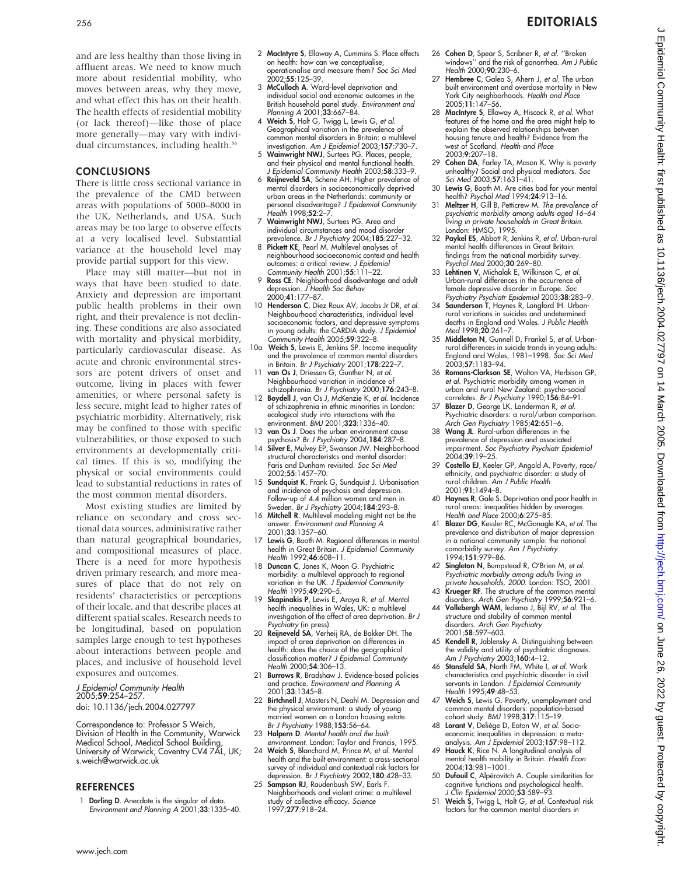affluent areas. We need to know much more about residential mobility, who moves between areas, why they move, and what effect this has on their health. The health effects of residential mobility (or lack thereof)—like those of place more generally—may vary with individual circumstances, including health.<sup>56</sup>

## **CONCLUSIONS**

There is little cross sectional variance in the prevalence of the CMD between areas with populations of 5000–8000 in the UK, Netherlands, and USA. Such areas may be too large to observe effects at a very localised level. Substantial variance at the household level may provide partial support for this view.

Place may still matter—but not in ways that have been studied to date. Anxiety and depression are important public health problems in their own right, and their prevalence is not declining. These conditions are also associated with mortality and physical morbidity, particularly cardiovascular disease. As acute and chronic environmental stressors are potent drivers of onset and outcome, living in places with fewer amenities, or where personal safety is less secure, might lead to higher rates of psychiatric morbidity. Alternatively, risk may be confined to those with specific vulnerabilities, or those exposed to such environments at developmentally critical times. If this is so, modifying the physical or social environments could lead to substantial reductions in rates of the most common mental disorders.

Most existing studies are limited by reliance on secondary and cross sectional data sources, administrative rather than natural geographical boundaries, and compositional measures of place. There is a need for more hypothesis driven primary research, and more measures of place that do not rely on residents' characteristics or perceptions of their locale, and that describe places at different spatial scales. Research needs to be longitudinal, based on population samples large enough to test hypotheses about interactions between people and places, and inclusive of household level exposures and outcomes.

#### J Epidemiol Community Health

2005;59:254–257. doi: 10.1136/jech.2004.027797

Correspondence to: Professor S Weich, Division of Health in the Community, Warwick Medical School, Medical School Building, University of Warwick, Coventry CV4 7AL, UK; s.weich@warwick.ac.uk

### REFERENCES

1 Dorling D. Anecdote is the singular of data. Environment and Planning A 2001;33:1335–40.

- 2 MacIntyre S, Ellaway A, Cummins S. Place effects on health: how can we conceptualise, operationalise and measure them? Soc Sci Med 2002;55:125–39.
- 3 McCulloch A. Ward-level deprivation and individual social and economic outcomes in the British household panel study. Environment and Planning A 2001;33:667–84.
- 4 Weich S, Holt G, Twigg L, Lewis G, et al. Geographical variation in the prevalence of common mental disorders in Britain: a multilevel investigation. Am J Epidemiol 2003;157:730–7.
- 5 Wainwright NWJ, Surtees PG. Places, people and their physical and mental functional health. J Epidemiol Community Health 2003;58:333–9.
- 6 Reijneveld SA, Schene AH. Higher prevalence of mental disorders in socioeconomically deprived urban areas in the Netherlands: community or personal disadvantage? J Epidemiol Community .<br>Health 1998;**52**:2–7
- 7 Wainwright NWJ, Surtees PG. Area and individual circumstances and mood disorder
- prevalence. *Br J Psychiatry* 2004;**185**:227–32.<br>8 **Pickett KE**, Pearl M. Multilevel analyses of neighbourhood socioeconomic context and health outcomes: a critical review. J Epidemiol Community Health 2001;55:111–22.
- Ross CE. Neighborhood disadvantage and adult depression. J Health Soc Behav 2000;41:177–87.
- 10 Henderson C, Diez Roux AV, Jacobs Jr DR, et al. Neighbourhood characteristics, individual level socioeconomic factors, and depressive symptoms in young adults: the CARDIA study. J Epidemiol Community Health 2005;59:322-8.
- 10a Weich S, Lewis E, Jenkins SP. Income inequality and the prevalence of common mental disorders in Britain. Br J Psychiatry 2001;178:222–7.
- 11 van Os J, Driessen G, Gunther N, et al. Neighbourhood variation in incidence of schizophrenia. Br J Psychiatry 2000;176:243-8.
- 12 Boydell J, van Os J, McKenzie K, et al. Incidence of schizophrenia in ethnic minorities in London: ecological study into interactions with the environment. BMJ 2001;323:1336–40.
- 13 van Os J. Does the urban environment cause psychosis? Br J Psychiatry 2004;184:287-8.
- 14 Silver E, Mulvey EP, Swanson JW. Neighborhood structural characteristcs and mental disorder: Faris and Dunham revisited. Soc Sci Med 2002;55:1457–70.
- 15 Sundquist K, Frank G, Sundquist J. Urbanisation and incidence of psychosis and depression. Follow-up of 4.4 million women and men in Sweden. Br J Psychiatry 2004;**184**:293–8.
- 16 Mitchell R. Multilevel modeling might not be the answer. Environment and Planning A 2001;33:1357–60.
- Lewis G, Booth M. Regional differences in mental health in Great Britain. J Epidemiol Community Health 1992;46:608-11.
- 18 Duncan C, Jones K, Moon G. Psychiatric morbidity: a multilevel approach to regional variation in the UK. J Epidemiol Community Health 1995;49:290–5.
- 19 Skapinakis P, Lewis E, Araya R, et al. Mental health inequalities in Wales, UK: a multilevel investigation of the affect of area deprivation. Br J Psychiatry (in press).
- 20 Reijneveld SA, Verheij RA, de Bakker DH. The impact of area deprivation on differences in health: does the choice of the geographical classification matter? J Epidemiol Community Health 2000;54:306–13.
- 21 Burrows R, Bradshaw J. Evidence-based policies and practice. Environment and Planning A 2001;33:1345–8.
- 22 Birtchnell J, Masters N, Deahl M. Depression and the physical environment: a study of young married women on a London housing estate. Br J Psychiatry 1988;153:56-64.
- 23 Halpern D. Mental health and the built environment. London: Taylor and Francis, 1995.
- 24 Weich S, Blanchard M, Prince M, et al. Mental health and the built environment: a cross-sectional survey of individual and contextual risk factors for depression. Br J Psychiatry 2002;180:428-33.
- 25 Sampson RJ, Raudenbush SW, Earls F. Neighborhoods and violent crime: a multilevel study of collective efficacy. Science 1997;277:918–24.
- 26 Cohen D, Spear S, Scribner R, et al. "Broken windows'' and the risk of gonorrhea. Am J Public Health 2000;90:230–6.
- 27 Hembree C, Galea S, Ahern J, et al. The urban built environment and overdose mortality in New York City neighborhoods. Health and Place 2005;11:147–56.
- 28 MacIntyre S, Ellaway A, Hiscock R, et al. What features of the home and the area might help to explain the observed relationships between housing tenure and health? Evidence from the west of Scotland. Health and Place 2003;9:207–18.
- 29 Cohen DA, Farley TA, Mason K. Why is poverty unhealthy? Social and physical mediators. Soc Sci Med 2003;57:1631–41.
- 30 Lewis G, Booth M. Are cities bad for your mental health? Psychol Med 1994;24:913–16.
- 31 Meltzer H, Gill B, Petticrew M. The prevalence of psychiatric morbidity among adults aged 16–64 living in private households in Great Britain. London: HMSO, 1995.
- 32 Paykel ES, Abbott R, Jenkins R, et al. Urban-rural mental health differences in Great Britain: findings from the national morbidity survey. Psychol Med 2000;30:269–80.
- 33 Lehtinen V, Michalak E, Wilkinson C, et al. Urban-rural differences in the occurrence of female depressive disorder in Europe. Soc Psychiatry Psychiatr Epidemiol 2003;38:283–9.
- 34 Saunderson T, Haynes R, Langford IH. Urbanrural variations in suicides and undetermined deaths in England and Wales. J Public Health Med 1998;20:261–7.
- 35 Middleton N, Gunnell D, Frankel S, et al. Urban-rural differences in suicide trands in young adults: England and Wales, 1981–1998. Soc Sci Med 2003;57:1183–94.
- 36 Romans-Clarkson SE, Walton VA, Herbison GP, et al. Psychiatric morbidity among women in urban and rural New Zealand: psycho-social correlates. Br J Psychiatry 1990;156:84–91.
- 37 Blazer D, George LK, Landerman R, et al. Psychiatric disorders: a rural/urban comparison. Arch Gen Psychiatry 1985;42:651–6.
- 38 Wang JL. Rural-urban differences in the prevalence of depression and associated impairment. Soc Psychiatry Psychiatr Epidemiol 2004;39:19–25.
- 39 Costello EJ, Keeler GP, Angold A. Poverty, race/ ethnicity, and psychiatric disorder: a study of<br>rural children. A*m J Public Health* 2001;91:1494–8.
- 40 Haynes R, Gale S. Deprivation and poor health in rural areas: inequalities hidden by averages. Health and Place 2000;6:275–85.
- 41 Blazer DG, Kessler RC, McGonagle KA, et al. The prevalence and distribution of major depression in a national community sample: the national comorbidity survey. *Am J Psychiatry*<br>1994;**151**:979–86.
- 42 Singleton N, Bumpstead R, O'Brien M, et al. Psychiatric morbidity among adults living in private households, 2000. London: TSO, 2001.
- 43 Krueger RF. The structure of the common mental disorders. Arch Gen Psychiatry 1999;56:921–6.
- 44 **Vollebergh WAM**, ledema J, Bijl RV, *et al.* The structure and stability of common mental disorders. Arch Gen Psychiatry 2001;58:597–603.
- 45 Kendell R, Jablensky A. Distinguishing between the validity and utility of psychiatric diagnoses. Am J Psychiatry 2003;160:4–12.
- 46 Stansfeld SA, North FM, White I, et al. Work characteristics and psychiatric disorder in civil servants in London. J Epidemiol Community Health 1995;49:48-53.
- Weich S, Lewis G. Poverty, unemployment and common mental disorders: population-based cohort study. BMJ 1998;317:115–19.
- 48 Lorant V, Deliège D, Eaton W, et al. Socioeconomic inequalities in depression: a meta-
- analysis. *Am J Epidemiol* 2003;**157**:98–112.<br>49 **Hauck K**, Rice N. A longitudinal analysis of mental health mobility in Britain. Health Econ 2004;13:981–1001.
- 50 Dufouil C, Alpérovitch A. Couple similarities for cognitive functions and psychological health. J Člin Epidemiol 2000;**53**:589–93.
- 51 Weich S, Twigg L, Holt G, et al. Contextual risk factors for the common mental disorders in